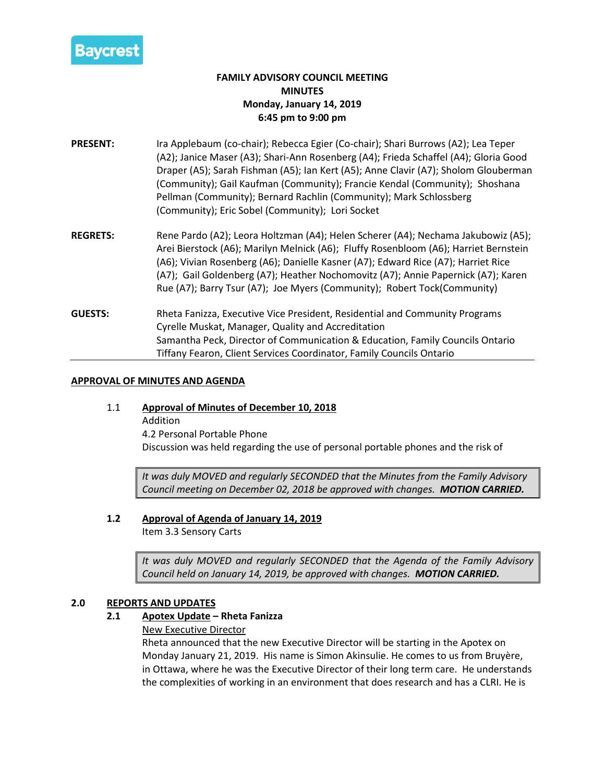

# **FAMILY ADVISORY COUNCIL MEETING MINUTES Monday, January 14, 2019 6:45 pm to 9:00 pm**

- **PRESENT:** Ira Applebaum (co-chair); Rebecca Egier (Co-chair); Shari Burrows (A2); Lea Teper (A2); Janice Maser (A3); Shari-Ann Rosenberg (A4); Frieda Schaffel (A4); Gloria Good Draper (A5); Sarah Fishman (A5); Ian Kert (A5); Anne Clavir (A7); Sholom Glouberman (Community); Gail Kaufman (Community); Francie Kendal (Community); Shoshana Pellman (Community); Bernard Rachlin (Community); Mark Schlossberg (Community); Eric Sobel (Community); Lori Socket
- **REGRETS:** Rene Pardo (A2); Leora Holtzman (A4); Helen Scherer (A4); Nechama Jakubowiz (A5); Arei Bierstock (A6); Marilyn Melnick (A6); Fluffy Rosenbloom (A6); Harriet Bernstein (A6); Vivian Rosenberg (A6); Danielle Kasner (A7); Edward Rice (A7); Harriet Rice (A7); Gail Goldenberg (A7); Heather Nochomovitz (A7); Annie Papernick (A7); Karen Rue (A7); Barry Tsur (A7); Joe Myers (Community); Robert Tock(Community)
- **GUESTS:** Rheta Fanizza, Executive Vice President, Residential and Community Programs Cyrelle Muskat, Manager, Quality and Accreditation Samantha Peck, Director of Communication & Education, Family Councils Ontario Tiffany Fearon, Client Services Coordinator, Family Councils Ontario

## **APPROVAL OF MINUTES AND AGENDA**

## 1.1 **Approval of Minutes of December 10, 2018**

Addition 4.2 Personal Portable Phone Discussion was held regarding the use of personal portable phones and the risk of

*It was duly MOVED and regularly SECONDED that the Minutes from the Family Advisory Council meeting on December 02, 2018 be approved with changes. MOTION CARRIED.*

# **1.2 Approval of Agenda of January 14, 2019**

Item 3.3 Sensory Carts

*It was duly MOVED and regularly SECONDED that the Agenda of the Family Advisory Council held on January 14, 2019, be approved with changes. MOTION CARRIED.*

## **2.0 REPORTS AND UPDATES**

# **2.1 Apotex Update – Rheta Fanizza**

New Executive Director

Rheta announced that the new Executive Director will be starting in the Apotex on Monday January 21, 2019. His name is Simon Akinsulie. He comes to us from Bruyère, in Ottawa, where he was the Executive Director of their long term care. He understands the complexities of working in an environment that does research and has a CLRI. He is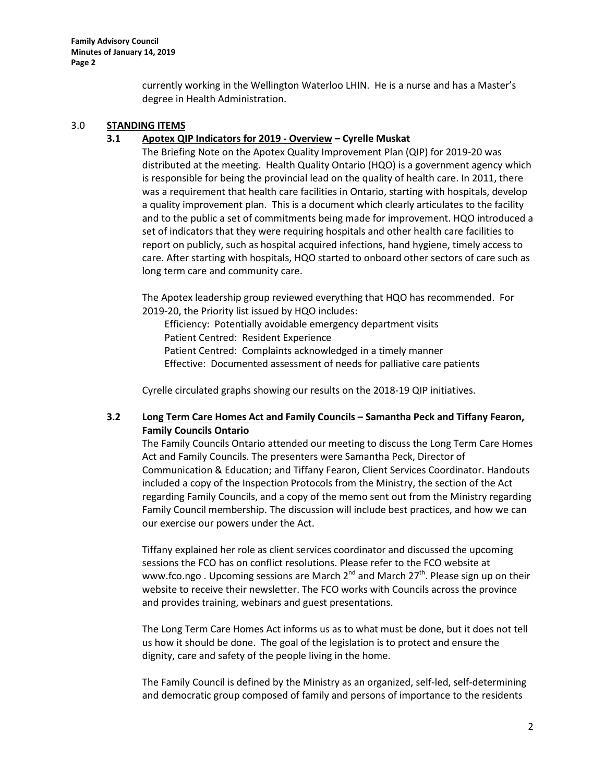currently working in the Wellington Waterloo LHIN. He is a nurse and has a Master's degree in Health Administration.

## 3.0 **STANDING ITEMS**

#### **3.1 Apotex QIP Indicators for 2019 - Overview – Cyrelle Muskat**

The Briefing Note on the Apotex Quality Improvement Plan (QIP) for 2019-20 was distributed at the meeting. Health Quality Ontario (HQO) is a government agency which is responsible for being the provincial lead on the quality of health care. In 2011, there was a requirement that health care facilities in Ontario, starting with hospitals, develop a quality improvement plan. This is a document which clearly articulates to the facility and to the public a set of commitments being made for improvement. HQO introduced a set of indicators that they were requiring hospitals and other health care facilities to report on publicly, such as hospital acquired infections, hand hygiene, timely access to care. After starting with hospitals, HQO started to onboard other sectors of care such as long term care and community care.

The Apotex leadership group reviewed everything that HQO has recommended. For 2019-20, the Priority list issued by HQO includes:

Efficiency: Potentially avoidable emergency department visits Patient Centred: Resident Experience Patient Centred: Complaints acknowledged in a timely manner Effective: Documented assessment of needs for palliative care patients

Cyrelle circulated graphs showing our results on the 2018-19 QIP initiatives.

## **3.2 Long Term Care Homes Act and Family Councils – Samantha Peck and Tiffany Fearon, Family Councils Ontario**

The Family Councils Ontario attended our meeting to discuss the Long Term Care Homes Act and Family Councils. The presenters were Samantha Peck, Director of Communication & Education; and Tiffany Fearon, Client Services Coordinator. Handouts included a copy of the Inspection Protocols from the Ministry, the section of the Act regarding Family Councils, and a copy of the memo sent out from the Ministry regarding Family Council membership. The discussion will include best practices, and how we can our exercise our powers under the Act.

Tiffany explained her role as client services coordinator and discussed the upcoming sessions the FCO has on conflict resolutions. Please refer to the FCO website at www.fco.ngo . Upcoming sessions are March  $2^{nd}$  and March  $27^{th}$ . Please sign up on their website to receive their newsletter. The FCO works with Councils across the province and provides training, webinars and guest presentations.

The Long Term Care Homes Act informs us as to what must be done, but it does not tell us how it should be done. The goal of the legislation is to protect and ensure the dignity, care and safety of the people living in the home.

The Family Council is defined by the Ministry as an organized, self-led, self-determining and democratic group composed of family and persons of importance to the residents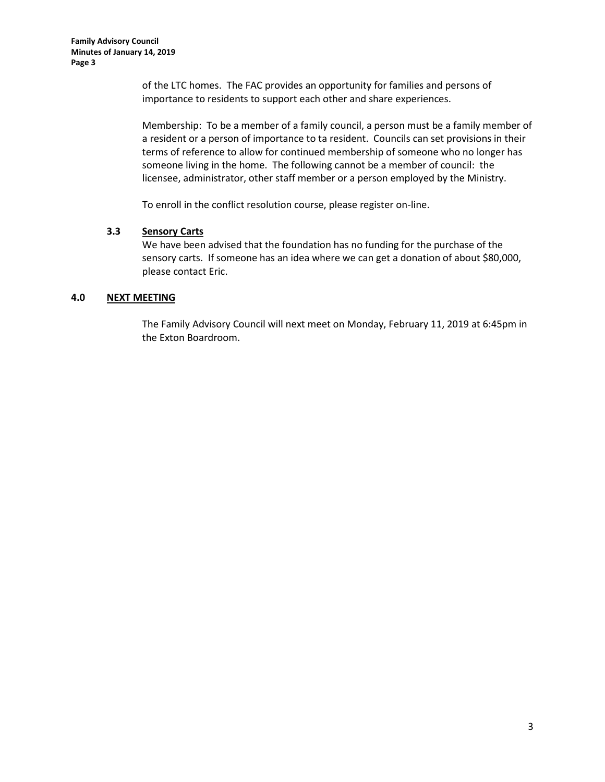of the LTC homes. The FAC provides an opportunity for families and persons of importance to residents to support each other and share experiences.

Membership: To be a member of a family council, a person must be a family member of a resident or a person of importance to ta resident. Councils can set provisions in their terms of reference to allow for continued membership of someone who no longer has someone living in the home. The following cannot be a member of council: the licensee, administrator, other staff member or a person employed by the Ministry.

To enroll in the conflict resolution course, please register on-line.

## **3.3 Sensory Carts**

We have been advised that the foundation has no funding for the purchase of the sensory carts. If someone has an idea where we can get a donation of about \$80,000, please contact Eric.

## **4.0 NEXT MEETING**

The Family Advisory Council will next meet on Monday, February 11, 2019 at 6:45pm in the Exton Boardroom.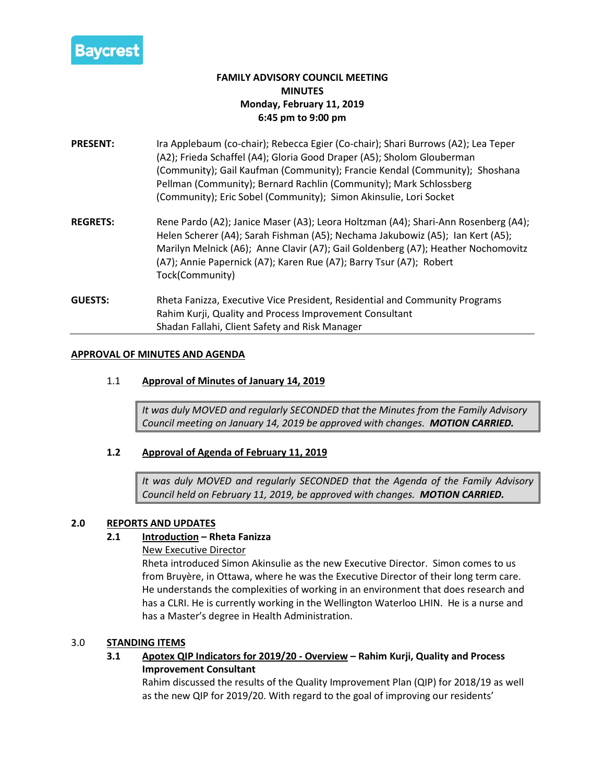

# **FAMILY ADVISORY COUNCIL MEETING MINUTES Monday, February 11, 2019 6:45 pm to 9:00 pm**

- **PRESENT:** Ira Applebaum (co-chair); Rebecca Egier (Co-chair); Shari Burrows (A2); Lea Teper (A2); Frieda Schaffel (A4); Gloria Good Draper (A5); Sholom Glouberman (Community); Gail Kaufman (Community); Francie Kendal (Community); Shoshana Pellman (Community); Bernard Rachlin (Community); Mark Schlossberg (Community); Eric Sobel (Community); Simon Akinsulie, Lori Socket
- **REGRETS:** Rene Pardo (A2); Janice Maser (A3); Leora Holtzman (A4); Shari-Ann Rosenberg (A4); Helen Scherer (A4); Sarah Fishman (A5); Nechama Jakubowiz (A5); Ian Kert (A5); Marilyn Melnick (A6); Anne Clavir (A7); Gail Goldenberg (A7); Heather Nochomovitz (A7); Annie Papernick (A7); Karen Rue (A7); Barry Tsur (A7); Robert Tock(Community)
- **GUESTS:** Rheta Fanizza, Executive Vice President, Residential and Community Programs Rahim Kurji, Quality and Process Improvement Consultant Shadan Fallahi, Client Safety and Risk Manager

## **APPROVAL OF MINUTES AND AGENDA**

## 1.1 **Approval of Minutes of January 14, 2019**

*It was duly MOVED and regularly SECONDED that the Minutes from the Family Advisory Council meeting on January 14, 2019 be approved with changes. MOTION CARRIED.*

## **1.2 Approval of Agenda of February 11, 2019**

*It was duly MOVED and regularly SECONDED that the Agenda of the Family Advisory Council held on February 11, 2019, be approved with changes. MOTION CARRIED.*

## **2.0 REPORTS AND UPDATES**

## **2.1 Introduction – Rheta Fanizza**

## New Executive Director

Rheta introduced Simon Akinsulie as the new Executive Director. Simon comes to us from Bruyère, in Ottawa, where he was the Executive Director of their long term care. He understands the complexities of working in an environment that does research and has a CLRI. He is currently working in the Wellington Waterloo LHIN. He is a nurse and has a Master's degree in Health Administration.

## 3.0 **STANDING ITEMS**

**3.1 Apotex QIP Indicators for 2019/20 - Overview – Rahim Kurji, Quality and Process Improvement Consultant**

Rahim discussed the results of the Quality Improvement Plan (QIP) for 2018/19 as well as the new QIP for 2019/20. With regard to the goal of improving our residents'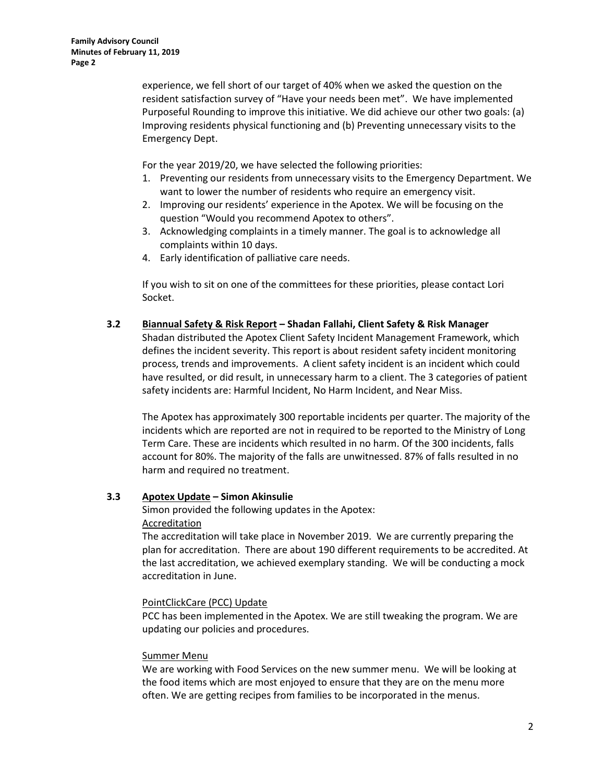experience, we fell short of our target of 40% when we asked the question on the resident satisfaction survey of "Have your needs been met". We have implemented Purposeful Rounding to improve this initiative. We did achieve our other two goals: (a) Improving residents physical functioning and (b) Preventing unnecessary visits to the Emergency Dept.

For the year 2019/20, we have selected the following priorities:

- 1. Preventing our residents from unnecessary visits to the Emergency Department. We want to lower the number of residents who require an emergency visit.
- 2. Improving our residents' experience in the Apotex. We will be focusing on the question "Would you recommend Apotex to others".
- 3. Acknowledging complaints in a timely manner. The goal is to acknowledge all complaints within 10 days.
- 4. Early identification of palliative care needs.

If you wish to sit on one of the committees for these priorities, please contact Lori Socket.

## **3.2 Biannual Safety & Risk Report – Shadan Fallahi, Client Safety & Risk Manager**

Shadan distributed the Apotex Client Safety Incident Management Framework, which defines the incident severity. This report is about resident safety incident monitoring process, trends and improvements. A client safety incident is an incident which could have resulted, or did result, in unnecessary harm to a client. The 3 categories of patient safety incidents are: Harmful Incident, No Harm Incident, and Near Miss.

The Apotex has approximately 300 reportable incidents per quarter. The majority of the incidents which are reported are not in required to be reported to the Ministry of Long Term Care. These are incidents which resulted in no harm. Of the 300 incidents, falls account for 80%. The majority of the falls are unwitnessed. 87% of falls resulted in no harm and required no treatment.

#### **3.3 Apotex Update – Simon Akinsulie**

Simon provided the following updates in the Apotex: Accreditation

The accreditation will take place in November 2019. We are currently preparing the plan for accreditation. There are about 190 different requirements to be accredited. At the last accreditation, we achieved exemplary standing. We will be conducting a mock accreditation in June.

#### PointClickCare (PCC) Update

PCC has been implemented in the Apotex. We are still tweaking the program. We are updating our policies and procedures.

#### Summer Menu

We are working with Food Services on the new summer menu. We will be looking at the food items which are most enjoyed to ensure that they are on the menu more often. We are getting recipes from families to be incorporated in the menus.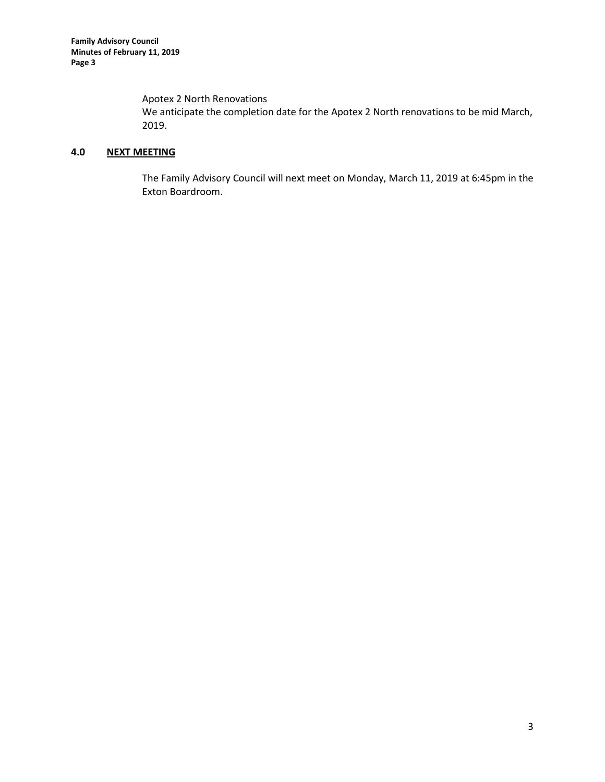# Apotex 2 North Renovations

We anticipate the completion date for the Apotex 2 North renovations to be mid March, 2019.

# **4.0 NEXT MEETING**

The Family Advisory Council will next meet on Monday, March 11, 2019 at 6:45pm in the Exton Boardroom.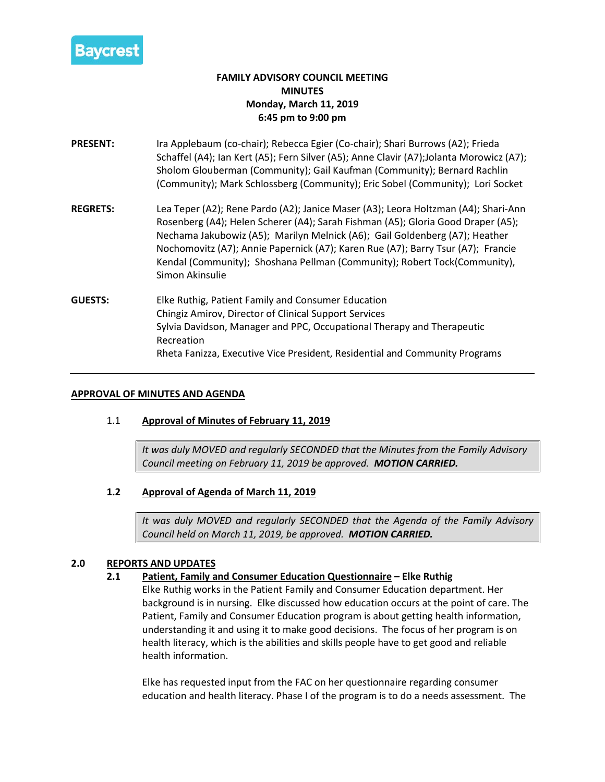

# **FAMILY ADVISORY COUNCIL MEETING MINUTES Monday, March 11, 2019 6:45 pm to 9:00 pm**

- **PRESENT:** Ira Applebaum (co-chair); Rebecca Egier (Co-chair); Shari Burrows (A2); Frieda Schaffel (A4); Ian Kert (A5); Fern Silver (A5); Anne Clavir (A7);Jolanta Morowicz (A7); Sholom Glouberman (Community); Gail Kaufman (Community); Bernard Rachlin (Community); Mark Schlossberg (Community); Eric Sobel (Community); Lori Socket
- **REGRETS:** Lea Teper (A2); Rene Pardo (A2); Janice Maser (A3); Leora Holtzman (A4); Shari-Ann Rosenberg (A4); Helen Scherer (A4); Sarah Fishman (A5); Gloria Good Draper (A5); Nechama Jakubowiz (A5); Marilyn Melnick (A6); Gail Goldenberg (A7); Heather Nochomovitz (A7); Annie Papernick (A7); Karen Rue (A7); Barry Tsur (A7); Francie Kendal (Community); Shoshana Pellman (Community); Robert Tock(Community), Simon Akinsulie
- **GUESTS:** Elke Ruthig, Patient Family and Consumer Education Chingiz Amirov, Director of Clinical Support Services Sylvia Davidson, Manager and PPC, Occupational Therapy and Therapeutic Recreation Rheta Fanizza, Executive Vice President, Residential and Community Programs

## **APPROVAL OF MINUTES AND AGENDA**

# 1.1 **Approval of Minutes of February 11, 2019**

*It was duly MOVED and regularly SECONDED that the Minutes from the Family Advisory Council meeting on February 11, 2019 be approved. MOTION CARRIED.*

# **1.2 Approval of Agenda of March 11, 2019**

*It was duly MOVED and regularly SECONDED that the Agenda of the Family Advisory Council held on March 11, 2019, be approved. MOTION CARRIED.*

## **2.0 REPORTS AND UPDATES**

## **2.1 Patient, Family and Consumer Education Questionnaire – Elke Ruthig**

Elke Ruthig works in the Patient Family and Consumer Education department. Her background is in nursing. Elke discussed how education occurs at the point of care. The Patient, Family and Consumer Education program is about getting health information, understanding it and using it to make good decisions. The focus of her program is on health literacy, which is the abilities and skills people have to get good and reliable health information.

Elke has requested input from the FAC on her questionnaire regarding consumer education and health literacy. Phase I of the program is to do a needs assessment. The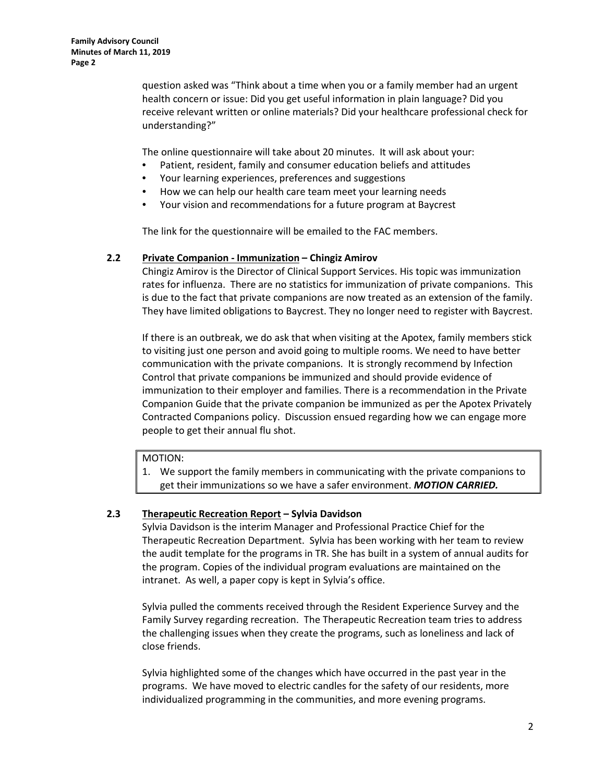question asked was "Think about a time when you or a family member had an urgent health concern or issue: Did you get useful information in plain language? Did you receive relevant written or online materials? Did your healthcare professional check for understanding?"

The online questionnaire will take about 20 minutes. It will ask about your:

- Patient, resident, family and consumer education beliefs and attitudes
- Your learning experiences, preferences and suggestions
- How we can help our health care team meet your learning needs
- Your vision and recommendations for a future program at Baycrest

The link for the questionnaire will be emailed to the FAC members.

#### **2.2 Private Companion - Immunization – Chingiz Amirov**

Chingiz Amirov is the Director of Clinical Support Services. His topic was immunization rates for influenza. There are no statistics for immunization of private companions. This is due to the fact that private companions are now treated as an extension of the family. They have limited obligations to Baycrest. They no longer need to register with Baycrest.

If there is an outbreak, we do ask that when visiting at the Apotex, family members stick to visiting just one person and avoid going to multiple rooms. We need to have better communication with the private companions. It is strongly recommend by Infection Control that private companions be immunized and should provide evidence of immunization to their employer and families. There is a recommendation in the Private Companion Guide that the private companion be immunized as per the Apotex Privately Contracted Companions policy. Discussion ensued regarding how we can engage more people to get their annual flu shot.

#### MOTION:

1. We support the family members in communicating with the private companions to get their immunizations so we have a safer environment. *MOTION CARRIED.*

#### **2.3 Therapeutic Recreation Report – Sylvia Davidson**

Sylvia Davidson is the interim Manager and Professional Practice Chief for the Therapeutic Recreation Department. Sylvia has been working with her team to review the audit template for the programs in TR. She has built in a system of annual audits for the program. Copies of the individual program evaluations are maintained on the intranet. As well, a paper copy is kept in Sylvia's office.

Sylvia pulled the comments received through the Resident Experience Survey and the Family Survey regarding recreation. The Therapeutic Recreation team tries to address the challenging issues when they create the programs, such as loneliness and lack of close friends.

Sylvia highlighted some of the changes which have occurred in the past year in the programs. We have moved to electric candles for the safety of our residents, more individualized programming in the communities, and more evening programs.